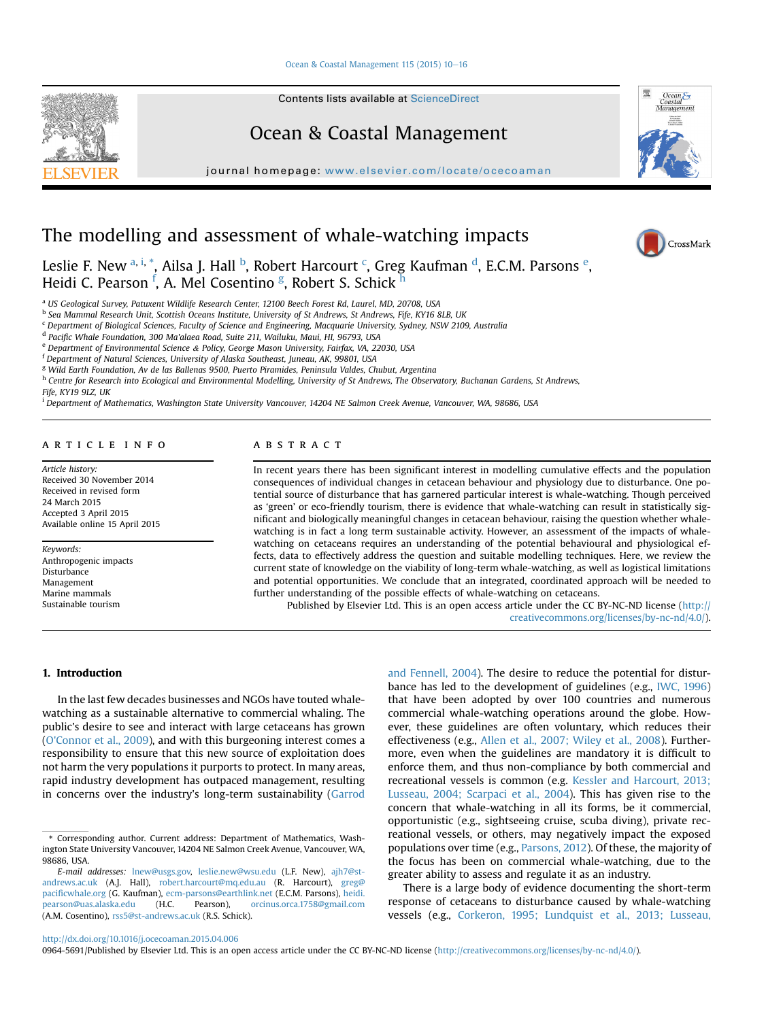#### Ocean & Coastal Management  $115$  (2015)  $10-16$  $10-16$



Contents lists available at ScienceDirect

# Ocean & Coastal Management

 $j<sub>i</sub>$  where  $i<sub>i</sub>$  home page: we want the complete  $o$ 

# The modelling and assessment of whale-watching impacts

Leslie F. New <sup>a, i, \*</sup>, Ailsa J. Hall <sup>b</sup>, Robert Harcourt <sup>c</sup>, Greg Kaufman <sup>d</sup>, E.C.M. Parsons <sup>e</sup>, Heidi C. Pearson <sup>f</sup>, A. Mel Cosentino <sup>g</sup>, Robert S. Schick <sup>h</sup>

<sup>a</sup> US Geological Survey, Patuxent Wildlife Research Center, 12100 Beech Forest Rd, Laurel, MD, 20708, USA

**b Sea Mammal Research Unit, Scottish Oceans Institute, University of St Andrews, St Andrews, Fife, KY16 8LB, UK** 

<sup>c</sup> Department of Biological Sciences, Faculty of Science and Engineering, Macquarie University, Sydney, NSW 2109, Australia

<sup>d</sup> Pacific Whale Foundation, 300 Ma'alaea Road, Suite 211, Wailuku, Maui, HI, 96793, USA

<sup>e</sup> Department of Environmental Science & Policy, George Mason University, Fairfax, VA, 22030, USA

<sup>f</sup> Department of Natural Sciences, University of Alaska Southeast, Juneau, AK, 99801, USA

<sup>g</sup> Wild Earth Foundation, Av de las Ballenas 9500, Puerto Piramides, Peninsula Valdes, Chubut, Argentina

h Centre for Research into Ecological and Environmental Modelling, University of St Andrews, The Observatory, Buchanan Gardens, St Andrews, Fife, KY19 9LZ, UK

<sup>i</sup> Department of Mathematics, Washington State University Vancouver, 14204 NE Salmon Creek Avenue, Vancouver, WA, 98686, USA

#### article info

Article history: Received 30 November 2014 Received in revised form 24 March 2015 Accepted 3 April 2015 Available online 15 April 2015

Keywords: Anthropogenic impacts Disturbance Management Marine mammals Sustainable tourism

### **ABSTRACT**

In recent years there has been significant interest in modelling cumulative effects and the population consequences of individual changes in cetacean behaviour and physiology due to disturbance. One potential source of disturbance that has garnered particular interest is whale-watching. Though perceived as 'green' or eco-friendly tourism, there is evidence that whale-watching can result in statistically significant and biologically meaningful changes in cetacean behaviour, raising the question whether whalewatching is in fact a long term sustainable activity. However, an assessment of the impacts of whalewatching on cetaceans requires an understanding of the potential behavioural and physiological effects, data to effectively address the question and suitable modelling techniques. Here, we review the current state of knowledge on the viability of long-term whale-watching, as well as logistical limitations and potential opportunities. We conclude that an integrated, coordinated approach will be needed to further understanding of the possible effects of whale-watching on cetaceans.

Published by Elsevier Ltd. This is an open access article under the CC BY-NC-ND license ([http://](http://creativecommons.org/licenses/by-nc-nd/4.�0/) [creativecommons.org/licenses/by-nc-nd/4.0/](http://creativecommons.org/licenses/by-nc-nd/4.�0/)).

## 1. Introduction

In the last few decades businesses and NGOs have touted whalewatching as a sustainable alternative to commercial whaling. The public's desire to see and interact with large cetaceans has grown (O'Connor et al., 2009), and with this burgeoning interest comes a responsibility to ensure that this new source of exploitation does not harm the very populations it purports to protect. In many areas, rapid industry development has outpaced management, resulting in concerns over the industry's long-term sustainability (Garrod and Fennell, 2004). The desire to reduce the potential for disturbance has led to the development of guidelines (e.g., IWC, 1996) that have been adopted by over 100 countries and numerous commercial whale-watching operations around the globe. However, these guidelines are often voluntary, which reduces their effectiveness (e.g., Allen et al., 2007; Wiley et al., 2008). Furthermore, even when the guidelines are mandatory it is difficult to enforce them, and thus non-compliance by both commercial and recreational vessels is common (e.g. Kessler and Harcourt, 2013; Lusseau, 2004; Scarpaci et al., 2004). This has given rise to the concern that whale-watching in all its forms, be it commercial, opportunistic (e.g., sightseeing cruise, scuba diving), private recreational vessels, or others, may negatively impact the exposed populations over time (e.g., Parsons, 2012). Of these, the majority of the focus has been on commercial whale-watching, due to the greater ability to assess and regulate it as an industry.

There is a large body of evidence documenting the short-term response of cetaceans to disturbance caused by whale-watching vessels (e.g., Corkeron, 1995; Lundquist et al., 2013; Lusseau,



0964-5691/Published by Elsevier Ltd. This is an open access article under the CC BY-NC-ND license [\(http://creativecommons.org/licenses/by-nc-nd/4.0/\)](http://creativecommons.org/licenses/by-nc-nd/4.�0/).



CrossMark

 $Ocean$ 

Management

<sup>\*</sup> Corresponding author. Current address: Department of Mathematics, Washington State University Vancouver, 14204 NE Salmon Creek Avenue, Vancouver, WA, 98686, USA.

E-mail addresses: [lnew@usgs.gov](mailto:lnew@usgs.gov), [leslie.new@wsu.edu](mailto:leslie.new@wsu.edu) (L.F. New), [ajh7@st](mailto:ajh7@st-andrews.ac.uk)[andrews.ac.uk](mailto:ajh7@st-andrews.ac.uk) (A.J. Hall), [robert.harcourt@mq.edu.au](mailto:robert.harcourt@mq.edu.au) (R. Harcourt), [greg@](mailto:greg@pacificwhale.org) pacifi[cwhale.org](mailto:greg@pacificwhale.org) (G. Kaufman), [ecm-parsons@earthlink.net](mailto:ecm-parsons@earthlink.net) (E.C.M. Parsons), [heidi.](mailto:heidi.pearson@uas.alaska.edu)<br>pearson@uas.alaska.edu (H.C. Pearson), orcinus.orca.1758@gmail.com [pearson@uas.alaska.edu](mailto:heidi.pearson@uas.alaska.edu) (H.C. Pearson), [orcinus.orca.1758@gmail.com](mailto:orcinus.orca.1758@gmail.com) (A.M. Cosentino), [rss5@st-andrews.ac.uk](mailto:rss5@st-andrews.ac.uk) (R.S. Schick).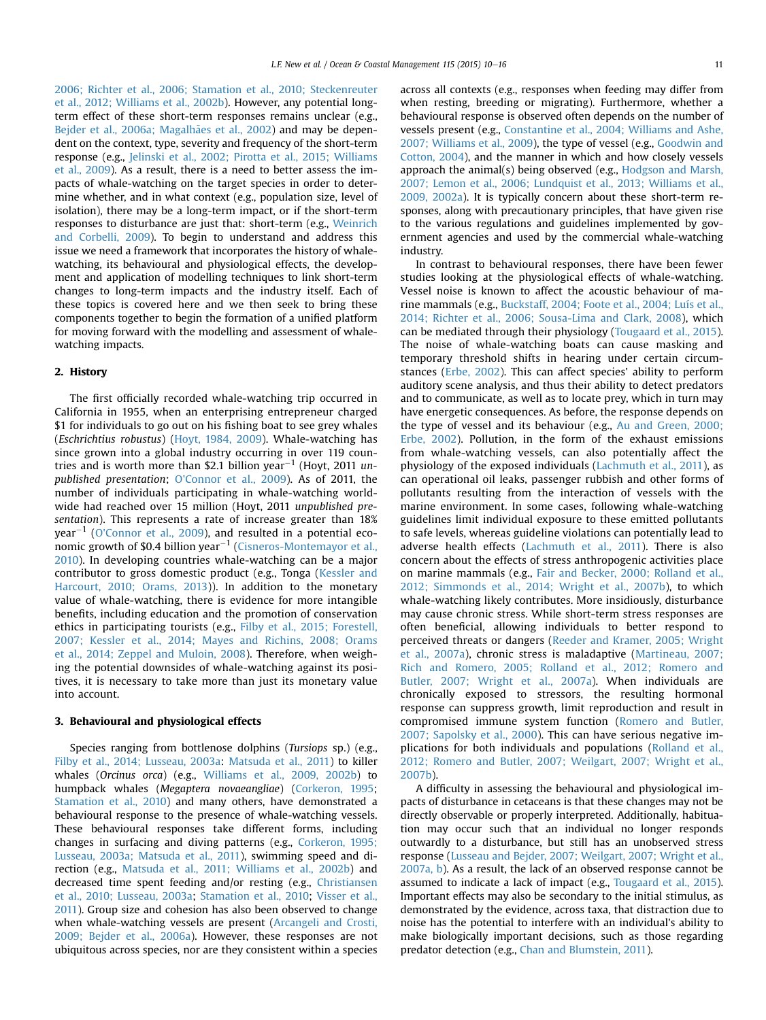2006; Richter et al., 2006; Stamation et al., 2010; Steckenreuter et al., 2012; Williams et al., 2002b). However, any potential longterm effect of these short-term responses remains unclear (e.g., Bejder et al., 2006a; Magalhães et al., 2002) and may be dependent on the context, type, severity and frequency of the short-term response (e.g., Jelinski et al., 2002; Pirotta et al., 2015; Williams et al., 2009). As a result, there is a need to better assess the impacts of whale-watching on the target species in order to determine whether, and in what context (e.g., population size, level of isolation), there may be a long-term impact, or if the short-term responses to disturbance are just that: short-term (e.g., Weinrich and Corbelli, 2009). To begin to understand and address this issue we need a framework that incorporates the history of whalewatching, its behavioural and physiological effects, the development and application of modelling techniques to link short-term changes to long-term impacts and the industry itself. Each of these topics is covered here and we then seek to bring these components together to begin the formation of a unified platform for moving forward with the modelling and assessment of whalewatching impacts.

#### 2. History

The first officially recorded whale-watching trip occurred in California in 1955, when an enterprising entrepreneur charged \$1 for individuals to go out on his fishing boat to see grey whales (Eschrichtius robustus) (Hoyt, 1984, 2009). Whale-watching has since grown into a global industry occurring in over 119 countries and is worth more than \$2.1 billion year<sup>-1</sup> (Hoyt, 2011 unpublished presentation; O'Connor et al., 2009). As of 2011, the number of individuals participating in whale-watching worldwide had reached over 15 million (Hoyt, 2011 unpublished presentation). This represents a rate of increase greater than 18% year<sup>-1</sup> (O'Connor et al., 2009), and resulted in a potential economic growth of \$0.4 billion year<sup> $-1$ </sup> (Cisneros-Montemayor et al., 2010). In developing countries whale-watching can be a major contributor to gross domestic product (e.g., Tonga (Kessler and Harcourt, 2010; Orams, 2013)). In addition to the monetary value of whale-watching, there is evidence for more intangible benefits, including education and the promotion of conservation ethics in participating tourists (e.g., Filby et al., 2015; Forestell, 2007; Kessler et al., 2014; Mayes and Richins, 2008; Orams et al., 2014; Zeppel and Muloin, 2008). Therefore, when weighing the potential downsides of whale-watching against its positives, it is necessary to take more than just its monetary value into account.

## 3. Behavioural and physiological effects

Species ranging from bottlenose dolphins (Tursiops sp.) (e.g., Filby et al., 2014; Lusseau, 2003a: Matsuda et al., 2011) to killer whales (Orcinus orca) (e.g., Williams et al., 2009, 2002b) to humpback whales (Megaptera novaeangliae) (Corkeron, 1995; Stamation et al., 2010) and many others, have demonstrated a behavioural response to the presence of whale-watching vessels. These behavioural responses take different forms, including changes in surfacing and diving patterns (e.g., Corkeron, 1995; Lusseau, 2003a; Matsuda et al., 2011), swimming speed and direction (e.g., Matsuda et al., 2011; Williams et al., 2002b) and decreased time spent feeding and/or resting (e.g., Christiansen et al., 2010; Lusseau, 2003a; Stamation et al., 2010; Visser et al., 2011). Group size and cohesion has also been observed to change when whale-watching vessels are present (Arcangeli and Crosti, 2009; Bejder et al., 2006a). However, these responses are not ubiquitous across species, nor are they consistent within a species across all contexts (e.g., responses when feeding may differ from when resting, breeding or migrating). Furthermore, whether a behavioural response is observed often depends on the number of vessels present (e.g., Constantine et al., 2004; Williams and Ashe, 2007; Williams et al., 2009), the type of vessel (e.g., Goodwin and Cotton, 2004), and the manner in which and how closely vessels approach the animal(s) being observed (e.g., Hodgson and Marsh, 2007; Lemon et al., 2006; Lundquist et al., 2013; Williams et al., 2009, 2002a). It is typically concern about these short-term responses, along with precautionary principles, that have given rise to the various regulations and guidelines implemented by government agencies and used by the commercial whale-watching industry.

In contrast to behavioural responses, there have been fewer studies looking at the physiological effects of whale-watching. Vessel noise is known to affect the acoustic behaviour of marine mammals (e.g., Buckstaff, 2004; Foote et al., 2004; Luís et al., 2014; Richter et al., 2006; Sousa-Lima and Clark, 2008), which can be mediated through their physiology (Tougaard et al., 2015). The noise of whale-watching boats can cause masking and temporary threshold shifts in hearing under certain circumstances (Erbe, 2002). This can affect species' ability to perform auditory scene analysis, and thus their ability to detect predators and to communicate, as well as to locate prey, which in turn may have energetic consequences. As before, the response depends on the type of vessel and its behaviour (e.g., Au and Green, 2000; Erbe, 2002). Pollution, in the form of the exhaust emissions from whale-watching vessels, can also potentially affect the physiology of the exposed individuals (Lachmuth et al., 2011), as can operational oil leaks, passenger rubbish and other forms of pollutants resulting from the interaction of vessels with the marine environment. In some cases, following whale-watching guidelines limit individual exposure to these emitted pollutants to safe levels, whereas guideline violations can potentially lead to adverse health effects (Lachmuth et al., 2011). There is also concern about the effects of stress anthropogenic activities place on marine mammals (e.g., Fair and Becker, 2000; Rolland et al., 2012; Simmonds et al., 2014; Wright et al., 2007b), to which whale-watching likely contributes. More insidiously, disturbance may cause chronic stress. While short-term stress responses are often beneficial, allowing individuals to better respond to perceived threats or dangers (Reeder and Kramer, 2005; Wright et al., 2007a), chronic stress is maladaptive (Martineau, 2007; Rich and Romero, 2005; Rolland et al., 2012; Romero and Butler, 2007; Wright et al., 2007a). When individuals are chronically exposed to stressors, the resulting hormonal response can suppress growth, limit reproduction and result in compromised immune system function (Romero and Butler, 2007; Sapolsky et al., 2000). This can have serious negative implications for both individuals and populations (Rolland et al., 2012; Romero and Butler, 2007; Weilgart, 2007; Wright et al., 2007b).

A difficulty in assessing the behavioural and physiological impacts of disturbance in cetaceans is that these changes may not be directly observable or properly interpreted. Additionally, habituation may occur such that an individual no longer responds outwardly to a disturbance, but still has an unobserved stress response (Lusseau and Bejder, 2007; Weilgart, 2007; Wright et al., 2007a, b). As a result, the lack of an observed response cannot be assumed to indicate a lack of impact (e.g., Tougaard et al., 2015). Important effects may also be secondary to the initial stimulus, as demonstrated by the evidence, across taxa, that distraction due to noise has the potential to interfere with an individual's ability to make biologically important decisions, such as those regarding predator detection (e.g., Chan and Blumstein, 2011).